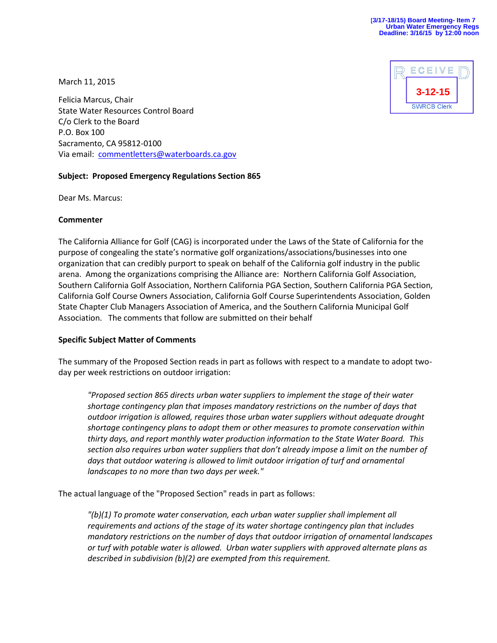

March 11, 2015

Felicia Marcus, Chair State Water Resources Control Board C/o Clerk to the Board P.O. Box 100 Sacramento, CA 95812-0100 Via email: [commentletters@waterboards.ca.gov](mailto:commentletters@waterboards.ca.gov)

# **Subject: Proposed Emergency Regulations Section 865**

Dear Ms. Marcus:

## **Commenter**

The California Alliance for Golf (CAG) is incorporated under the Laws of the State of California for the purpose of congealing the state's normative golf organizations/associations/businesses into one organization that can credibly purport to speak on behalf of the California golf industry in the public arena. Among the organizations comprising the Alliance are: Northern California Golf Association, Southern California Golf Association, Northern California PGA Section, Southern California PGA Section, California Golf Course Owners Association, California Golf Course Superintendents Association, Golden State Chapter Club Managers Association of America, and the Southern California Municipal Golf Association. The comments that follow are submitted on their behalf

# **Specific Subject Matter of Comments**

The summary of the Proposed Section reads in part as follows with respect to a mandate to adopt twoday per week restrictions on outdoor irrigation:

*"Proposed section 865 directs urban water suppliers to implement the stage of their water shortage contingency plan that imposes mandatory restrictions on the number of days that outdoor irrigation is allowed, requires those urban water suppliers without adequate drought shortage contingency plans to adopt them or other measures to promote conservation within thirty days, and report monthly water production information to the State Water Board. This section also requires urban water suppliers that don't already impose a limit on the number of days that outdoor watering is allowed to limit outdoor irrigation of turf and ornamental landscapes to no more than two days per week."*

The actual language of the "Proposed Section" reads in part as follows:

*"(b)(1) To promote water conservation, each urban water supplier shall implement all requirements and actions of the stage of its water shortage contingency plan that includes mandatory restrictions on the number of days that outdoor irrigation of ornamental landscapes or turf with potable water is allowed. Urban water suppliers with approved alternate plans as described in subdivision (b)(2) are exempted from this requirement.*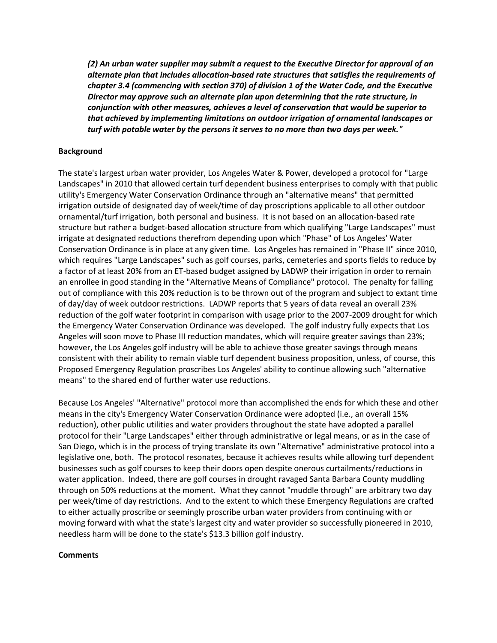*(2) An urban water supplier may submit a request to the Executive Director for approval of an alternate plan that includes allocation-based rate structures that satisfies the requirements of chapter 3.4 (commencing with section 370) of division 1 of the Water Code, and the Executive Director may approve such an alternate plan upon determining that the rate structure, in conjunction with other measures, achieves a level of conservation that would be superior to that achieved by implementing limitations on outdoor irrigation of ornamental landscapes or turf with potable water by the persons it serves to no more than two days per week."*

## **Background**

The state's largest urban water provider, Los Angeles Water & Power, developed a protocol for "Large Landscapes" in 2010 that allowed certain turf dependent business enterprises to comply with that public utility's Emergency Water Conservation Ordinance through an "alternative means" that permitted irrigation outside of designated day of week/time of day proscriptions applicable to all other outdoor ornamental/turf irrigation, both personal and business. It is not based on an allocation-based rate structure but rather a budget-based allocation structure from which qualifying "Large Landscapes" must irrigate at designated reductions therefrom depending upon which "Phase" of Los Angeles' Water Conservation Ordinance is in place at any given time. Los Angeles has remained in "Phase II" since 2010, which requires "Large Landscapes" such as golf courses, parks, cemeteries and sports fields to reduce by a factor of at least 20% from an ET-based budget assigned by LADWP their irrigation in order to remain an enrollee in good standing in the "Alternative Means of Compliance" protocol. The penalty for falling out of compliance with this 20% reduction is to be thrown out of the program and subject to extant time of day/day of week outdoor restrictions. LADWP reports that 5 years of data reveal an overall 23% reduction of the golf water footprint in comparison with usage prior to the 2007-2009 drought for which the Emergency Water Conservation Ordinance was developed. The golf industry fully expects that Los Angeles will soon move to Phase III reduction mandates, which will require greater savings than 23%; however, the Los Angeles golf industry will be able to achieve those greater savings through means consistent with their ability to remain viable turf dependent business proposition, unless, of course, this Proposed Emergency Regulation proscribes Los Angeles' ability to continue allowing such "alternative means" to the shared end of further water use reductions.

Because Los Angeles' "Alternative" protocol more than accomplished the ends for which these and other means in the city's Emergency Water Conservation Ordinance were adopted (i.e., an overall 15% reduction), other public utilities and water providers throughout the state have adopted a parallel protocol for their "Large Landscapes" either through administrative or legal means, or as in the case of San Diego, which is in the process of trying translate its own "Alternative" administrative protocol into a legislative one, both. The protocol resonates, because it achieves results while allowing turf dependent businesses such as golf courses to keep their doors open despite onerous curtailments/reductions in water application. Indeed, there are golf courses in drought ravaged Santa Barbara County muddling through on 50% reductions at the moment. What they cannot "muddle through" are arbitrary two day per week/time of day restrictions. And to the extent to which these Emergency Regulations are crafted to either actually proscribe or seemingly proscribe urban water providers from continuing with or moving forward with what the state's largest city and water provider so successfully pioneered in 2010, needless harm will be done to the state's \$13.3 billion golf industry.

#### **Comments**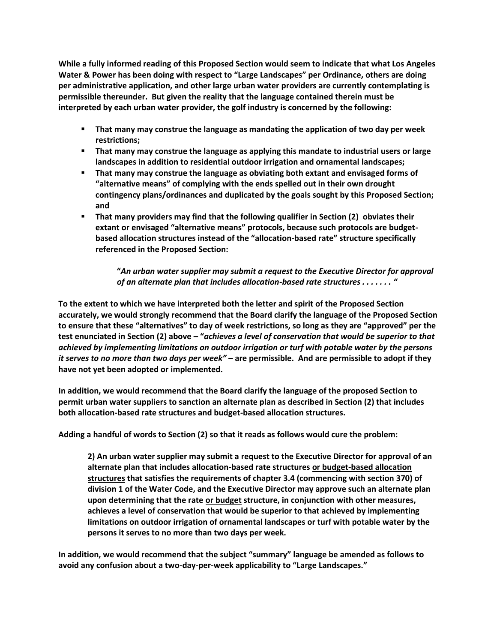**While a fully informed reading of this Proposed Section would seem to indicate that what Los Angeles Water & Power has been doing with respect to "Large Landscapes" per Ordinance, others are doing per administrative application, and other large urban water providers are currently contemplating is permissible thereunder. But given the reality that the language contained therein must be interpreted by each urban water provider, the golf industry is concerned by the following:**

- **That many may construe the language as mandating the application of two day per week restrictions;**
- **That many may construe the language as applying this mandate to industrial users or large landscapes in addition to residential outdoor irrigation and ornamental landscapes;**
- **That many may construe the language as obviating both extant and envisaged forms of "alternative means" of complying with the ends spelled out in their own drought contingency plans/ordinances and duplicated by the goals sought by this Proposed Section; and**
- **That many providers may find that the following qualifier in Section (2) obviates their extant or envisaged "alternative means" protocols, because such protocols are budgetbased allocation structures instead of the "allocation-based rate" structure specifically referenced in the Proposed Section:**

**"***An urban water supplier may submit a request to the Executive Director for approval of an alternate plan that includes allocation-based rate structures . . . . . . . "*

**To the extent to which we have interpreted both the letter and spirit of the Proposed Section accurately, we would strongly recommend that the Board clarify the language of the Proposed Section to ensure that these "alternatives" to day of week restrictions, so long as they are "approved" per the test enunciated in Section (2) above – "***achieves a level of conservation that would be superior to that achieved by implementing limitations on outdoor irrigation or turf with potable water by the persons it serves to no more than two days per week" –* **are permissible. And are permissible to adopt if they have not yet been adopted or implemented.**

**In addition, we would recommend that the Board clarify the language of the proposed Section to permit urban water suppliers to sanction an alternate plan as described in Section (2) that includes both allocation-based rate structures and budget-based allocation structures.**

**Adding a handful of words to Section (2) so that it reads as follows would cure the problem:**

**2) An urban water supplier may submit a request to the Executive Director for approval of an alternate plan that includes allocation-based rate structures or budget-based allocation structures that satisfies the requirements of chapter 3.4 (commencing with section 370) of division 1 of the Water Code, and the Executive Director may approve such an alternate plan upon determining that the rate or budget structure, in conjunction with other measures, achieves a level of conservation that would be superior to that achieved by implementing limitations on outdoor irrigation of ornamental landscapes or turf with potable water by the persons it serves to no more than two days per week.**

**In addition, we would recommend that the subject "summary" language be amended as follows to avoid any confusion about a two-day-per-week applicability to "Large Landscapes."**